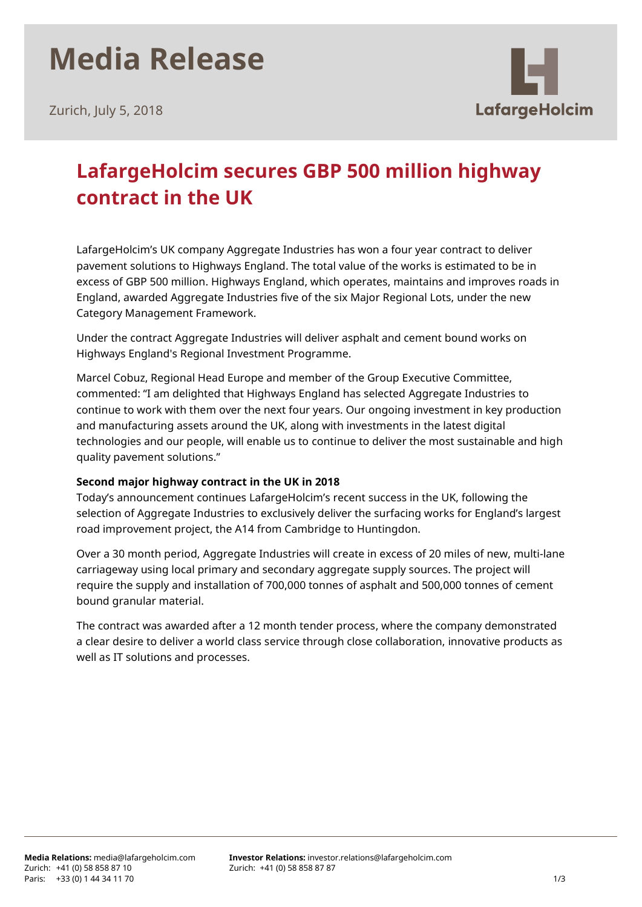# **Media Release**

Zurich, July 5, 2018



### **LafargeHolcim secures GBP 500 million highway contract in the UK**

LafargeHolcim's UK company Aggregate Industries has won a four year contract to deliver pavement solutions to Highways England. The total value of the works is estimated to be in excess of GBP 500 million. Highways England, which operates, maintains and improves roads in England, awarded Aggregate Industries five of the six Major Regional Lots, under the new Category Management Framework.

Under the contract Aggregate Industries will deliver asphalt and cement bound works on Highways England's Regional Investment Programme.

Marcel Cobuz, Regional Head Europe and member of the Group Executive Committee, commented: "I am delighted that Highways England has selected Aggregate Industries to continue to work with them over the next four years. Our ongoing investment in key production and manufacturing assets around the UK, along with investments in the latest digital technologies and our people, will enable us to continue to deliver the most sustainable and high quality pavement solutions."

### **Second major highway contract in the UK in 2018**

Today's announcement continues LafargeHolcim's recent success in the UK, following the selection of Aggregate Industries to exclusively deliver the surfacing works for England's largest road improvement project, the A14 from Cambridge to Huntingdon.

Over a 30 month period, Aggregate Industries will create in excess of 20 miles of new, multi-lane carriageway using local primary and secondary aggregate supply sources. The project will require the supply and installation of 700,000 tonnes of asphalt and 500,000 tonnes of cement bound granular material.

The contract was awarded after a 12 month tender process, where the company demonstrated a clear desire to deliver a world class service through close collaboration, innovative products as well as IT solutions and processes.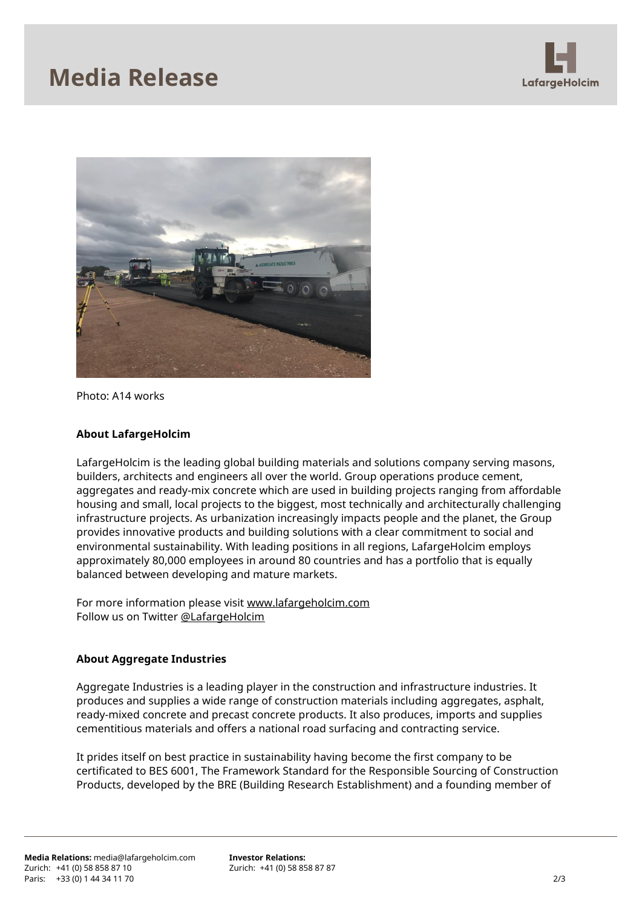### **Media Release**





Photo: A14 works

#### **About LafargeHolcim**

LafargeHolcim is the leading global building materials and solutions company serving masons, builders, architects and engineers all over the world. Group operations produce cement, aggregates and ready-mix concrete which are used in building projects ranging from affordable housing and small, local projects to the biggest, most technically and architecturally challenging infrastructure projects. As urbanization increasingly impacts people and the planet, the Group provides innovative products and building solutions with a clear commitment to social and environmental sustainability. With leading positions in all regions, LafargeHolcim employs approximately 80,000 employees in around 80 countries and has a portfolio that is equally balanced between developing and mature markets.

For more information please visit [www.lafargeholcim.com](http://www.lafargeholcim.com/) Follow us on Twitter [@LafargeHolcim](https://twitter.com/lafargeholcim)

#### **About Aggregate Industries**

Aggregate Industries is a leading player in the construction and infrastructure industries. It produces and supplies a wide range of construction materials including aggregates, asphalt, ready-mixed concrete and precast concrete products. It also produces, imports and supplies cementitious materials and offers a national road surfacing and contracting service.

It prides itself on best practice in sustainability having become the first company to be certificated to BES 6001, The Framework Standard for the Responsible Sourcing of Construction Products, developed by the BRE (Building Research Establishment) and a founding member of